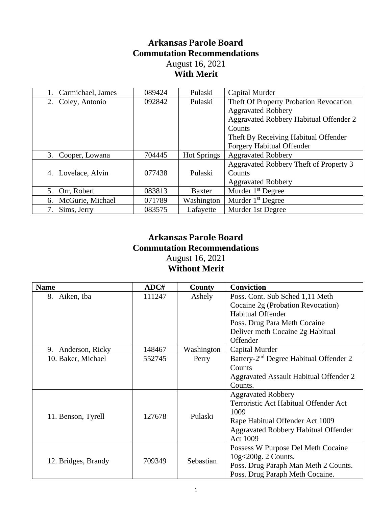## **Arkansas Parole Board Commutation Recommendations** August 16, 2021

## **With Merit**

| Carmichael, James     | 089424 | Pulaski            | Capital Murder                         |
|-----------------------|--------|--------------------|----------------------------------------|
| 2. Coley, Antonio     | 092842 | Pulaski            | Theft Of Property Probation Revocation |
|                       |        |                    | <b>Aggravated Robbery</b>              |
|                       |        |                    | Aggravated Robbery Habitual Offender 2 |
|                       |        |                    | Counts                                 |
|                       |        |                    | Theft By Receiving Habitual Offender   |
|                       |        |                    | <b>Forgery Habitual Offender</b>       |
| 3. Cooper, Lowana     | 704445 | <b>Hot Springs</b> | <b>Aggravated Robbery</b>              |
|                       |        |                    | Aggravated Robbery Theft of Property 3 |
| Lovelace, Alvin<br>4. | 077438 | Pulaski            | Counts                                 |
|                       |        |                    | <b>Aggravated Robbery</b>              |
| 5. Orr, Robert        | 083813 | <b>Baxter</b>      | Murder $1st$ Degree                    |
| 6. McGurie, Michael   | 071789 | Washington         | Murder $1st$ Degree                    |
| Sims, Jerry<br>7.     | 083575 | Lafayette          | Murder 1st Degree                      |

## **Arkansas Parole Board Commutation Recommendations** August 16, 2021

**Without Merit**

| <b>Name</b>           | ADC#              | County     | <b>Conviction</b>                                  |
|-----------------------|-------------------|------------|----------------------------------------------------|
| 8.<br>Aiken, Iba      | 111247            | Ashely     | Poss. Cont. Sub Sched 1,11 Meth                    |
|                       |                   |            | Cocaine 2g (Probation Revocation)                  |
|                       |                   |            | <b>Habitual Offender</b>                           |
|                       |                   |            | Poss. Drug Para Meth Cocaine                       |
|                       |                   |            | Deliver meth Cocaine 2g Habitual                   |
|                       |                   |            | Offender                                           |
| Anderson, Ricky<br>9. | 148467            | Washington | Capital Murder                                     |
| 10. Baker, Michael    | 552745            | Perry      | Battery-2 <sup>nd</sup> Degree Habitual Offender 2 |
|                       |                   |            | Counts                                             |
|                       |                   |            | Aggravated Assault Habitual Offender 2             |
|                       |                   |            | Counts.                                            |
|                       |                   |            | <b>Aggravated Robbery</b>                          |
|                       | Pulaski<br>127678 |            | Terroristic Act Habitual Offender Act              |
| 11. Benson, Tyrell    |                   |            | 1009                                               |
|                       |                   |            | Rape Habitual Offender Act 1009                    |
|                       |                   |            | <b>Aggravated Robbery Habitual Offender</b>        |
|                       |                   |            | Act 1009                                           |
| 12. Bridges, Brandy   | 709349            | Sebastian  | Possess W Purpose Del Meth Cocaine                 |
|                       |                   |            | $10g<200g$ . 2 Counts.                             |
|                       |                   |            | Poss. Drug Paraph Man Meth 2 Counts.               |
|                       |                   |            | Poss. Drug Paraph Meth Cocaine.                    |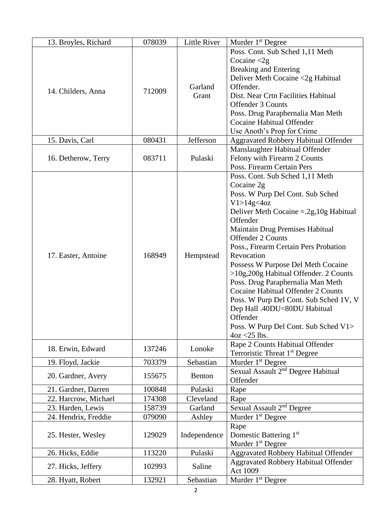| 13. Broyles, Richard | 078039 | Little River     | Murder 1 <sup>st</sup> Degree                                                                                                                                                                                                                                                                                                                                                                                                                                                                                                                                                         |
|----------------------|--------|------------------|---------------------------------------------------------------------------------------------------------------------------------------------------------------------------------------------------------------------------------------------------------------------------------------------------------------------------------------------------------------------------------------------------------------------------------------------------------------------------------------------------------------------------------------------------------------------------------------|
|                      |        |                  | Poss. Cont. Sub Sched 1,11 Meth<br>Cocaine $\langle 2g \rangle$                                                                                                                                                                                                                                                                                                                                                                                                                                                                                                                       |
| 14. Childers, Anna   | 712009 | Garland<br>Grant | <b>Breaking and Entering</b><br>Deliver Meth Cocaine <2g Habitual<br>Offender.<br>Dist. Near Crtn Facilities Habitual<br><b>Offender 3 Counts</b><br>Poss. Drug Paraphernalia Man Meth<br>Cocaine Habitual Offender<br>Use Anoth's Prop for Crime                                                                                                                                                                                                                                                                                                                                     |
| 15. Davis, Carl      | 080431 | Jefferson        | <b>Aggravated Robbery Habitual Offender</b>                                                                                                                                                                                                                                                                                                                                                                                                                                                                                                                                           |
| 16. Detherow, Terry  | 083711 | Pulaski          | Manslaughter Habitual Offender<br>Felony with Firearm 2 Counts<br>Poss. Firearm Certain Pers                                                                                                                                                                                                                                                                                                                                                                                                                                                                                          |
| 17. Easter, Antoine  | 168949 | Hempstead        | Poss. Cont. Sub Sched 1,11 Meth<br>Cocaine 2g<br>Poss. W Purp Del Cont. Sub Sched<br>V1 > 14g < 4oz<br>Deliver Meth Cocaine $=.2g,10g$ Habitual<br>Offender<br>Maintain Drug Premises Habitual<br>Offender 2 Counts<br>Poss., Firearm Certain Pers Probation<br>Revocation<br>Possess W Purpose Del Meth Cocaine<br>>10g,200g Habitual Offender. 2 Counts<br>Poss. Drug Paraphernalia Man Meth<br>Cocaine Habitual Offender 2 Counts<br>Poss. W Purp Del Cont. Sub Sched 1V, V<br>Dep Hall .40DU<80DU Habitual<br>Offender<br>Poss. W Purp Del Cont. Sub Sched V1><br>$4oz < 25$ lbs. |
| 18. Erwin, Edward    | 137246 | Lonoke           | Rape 2 Counts Habitual Offender<br>Terroristic Threat 1 <sup>st</sup> Degree                                                                                                                                                                                                                                                                                                                                                                                                                                                                                                          |
| 19. Floyd, Jackie    | 703379 | Sebastian        | Murder 1 <sup>st</sup> Degree                                                                                                                                                                                                                                                                                                                                                                                                                                                                                                                                                         |
| 20. Gardner, Avery   | 155675 | Benton           | Sexual Assault 2 <sup>nd</sup> Degree Habitual<br>Offender                                                                                                                                                                                                                                                                                                                                                                                                                                                                                                                            |
| 21. Gardner, Darren  | 100848 | Pulaski          | Rape                                                                                                                                                                                                                                                                                                                                                                                                                                                                                                                                                                                  |
| 22. Harcrow, Michael | 174308 | Cleveland        | Rape                                                                                                                                                                                                                                                                                                                                                                                                                                                                                                                                                                                  |
| 23. Harden, Lewis    | 158739 | Garland          | Sexual Assault 2 <sup>nd</sup> Degree                                                                                                                                                                                                                                                                                                                                                                                                                                                                                                                                                 |
| 24. Hendrix, Freddie | 079090 | Ashley           | Murder 1 <sup>st</sup> Degree                                                                                                                                                                                                                                                                                                                                                                                                                                                                                                                                                         |
| 25. Hester, Wesley   | 129029 | Independence     | Rape<br>Domestic Battering 1st<br>Murder 1 <sup>st</sup> Degree                                                                                                                                                                                                                                                                                                                                                                                                                                                                                                                       |
| 26. Hicks, Eddie     | 113220 | Pulaski          | Aggravated Robbery Habitual Offender                                                                                                                                                                                                                                                                                                                                                                                                                                                                                                                                                  |
| 27. Hicks, Jeffery   | 102993 | Saline           | <b>Aggravated Robbery Habitual Offender</b><br><b>Act 1009</b>                                                                                                                                                                                                                                                                                                                                                                                                                                                                                                                        |
| 28. Hyatt, Robert    | 132921 | Sebastian        | Murder 1 <sup>st</sup> Degree                                                                                                                                                                                                                                                                                                                                                                                                                                                                                                                                                         |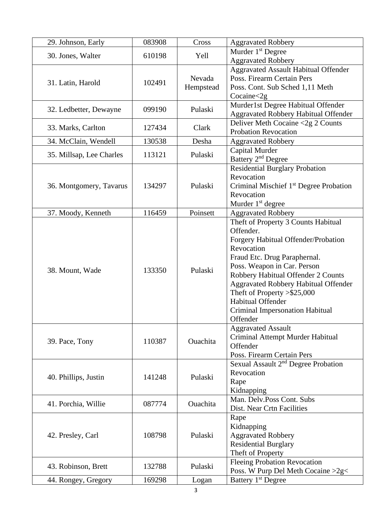| 29. Johnson, Early       | 083908 | Cross     | <b>Aggravated Robbery</b>                          |
|--------------------------|--------|-----------|----------------------------------------------------|
|                          |        |           | Murder 1 <sup>st</sup> Degree                      |
| 30. Jones, Walter        | 610198 | Yell      | <b>Aggravated Robbery</b>                          |
|                          |        |           | <b>Aggravated Assault Habitual Offender</b>        |
|                          |        | Nevada    | Poss. Firearm Certain Pers                         |
| 31. Latin, Harold        | 102491 |           |                                                    |
|                          |        | Hempstead | Poss. Cont. Sub Sched 1,11 Meth                    |
|                          |        |           | Cocaine < 2g                                       |
| 32. Ledbetter, Dewayne   | 099190 | Pulaski   | Murder1st Degree Habitual Offender                 |
|                          |        |           | <b>Aggravated Robbery Habitual Offender</b>        |
| 33. Marks, Carlton       | 127434 | Clark     | Deliver Meth Cocaine <2g 2 Counts                  |
|                          |        |           | <b>Probation Revocation</b>                        |
| 34. McClain, Wendell     | 130538 | Desha     | <b>Aggravated Robbery</b>                          |
|                          | 113121 | Pulaski   | Capital Murder                                     |
| 35. Millsap, Lee Charles |        |           | Battery 2 <sup>nd</sup> Degree                     |
|                          |        |           | <b>Residential Burglary Probation</b>              |
|                          |        |           | Revocation                                         |
| 36. Montgomery, Tavarus  | 134297 | Pulaski   | Criminal Mischief 1 <sup>st</sup> Degree Probation |
|                          |        |           | Revocation                                         |
|                          |        |           | Murder 1 <sup>st</sup> degree                      |
| 37. Moody, Kenneth       | 116459 | Poinsett  | <b>Aggravated Robbery</b>                          |
|                          |        |           | Theft of Property 3 Counts Habitual                |
|                          |        |           | Offender.                                          |
|                          |        |           |                                                    |
|                          |        |           | Forgery Habitual Offender/Probation                |
|                          | 133350 | Pulaski   | Revocation                                         |
| 38. Mount, Wade          |        |           | Fraud Etc. Drug Paraphernal.                       |
|                          |        |           | Poss. Weapon in Car. Person                        |
|                          |        |           | Robbery Habitual Offender 2 Counts                 |
|                          |        |           | <b>Aggravated Robbery Habitual Offender</b>        |
|                          |        |           | Theft of Property $> $25,000$                      |
|                          |        |           | Habitual Offender                                  |
|                          |        |           | Criminal Impersonation Habitual                    |
|                          |        |           | Offender                                           |
|                          |        |           | <b>Aggravated Assault</b>                          |
|                          |        |           | Criminal Attempt Murder Habitual                   |
| 39. Pace, Tony           | 110387 | Ouachita  | Offender                                           |
|                          |        |           | Poss. Firearm Certain Pers                         |
|                          |        |           | Sexual Assault 2 <sup>nd</sup> Degree Probation    |
|                          |        |           | Revocation                                         |
| 40. Phillips, Justin     | 141248 | Pulaski   |                                                    |
|                          |        |           | Rape                                               |
|                          |        |           | Kidnapping                                         |
| 41. Porchia, Willie      | 087774 | Ouachita  | Man. Delv.Poss Cont. Subs                          |
|                          |        |           | Dist. Near Crtn Facilities                         |
| 42. Presley, Carl        | 108798 | Pulaski   | Rape                                               |
|                          |        |           | Kidnapping                                         |
|                          |        |           | <b>Aggravated Robbery</b>                          |
|                          |        |           | <b>Residential Burglary</b>                        |
|                          |        |           | Theft of Property                                  |
|                          |        |           | <b>Fleeing Probation Revocation</b>                |
| 43. Robinson, Brett      | 132788 | Pulaski   | Poss. W Purp Del Meth Cocaine >2g<                 |
| 44. Rongey, Gregory      | 169298 | Logan     | Battery 1 <sup>st</sup> Degree                     |